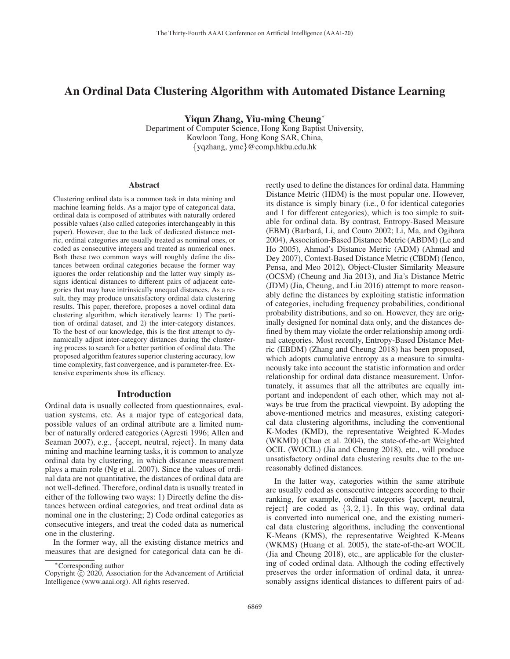# An Ordinal Data Clustering Algorithm with Automated Distance Learning

Yiqun Zhang, Yiu-ming Cheung<sup>∗</sup>

Department of Computer Science, Hong Kong Baptist University, Kowloon Tong, Hong Kong SAR, China, {yqzhang, ymc}@comp.hkbu.edu.hk

#### **Abstract**

Clustering ordinal data is a common task in data mining and machine learning fields. As a major type of categorical data, ordinal data is composed of attributes with naturally ordered possible values (also called categories interchangeably in this paper). However, due to the lack of dedicated distance metric, ordinal categories are usually treated as nominal ones, or coded as consecutive integers and treated as numerical ones. Both these two common ways will roughly define the distances between ordinal categories because the former way ignores the order relationship and the latter way simply assigns identical distances to different pairs of adjacent categories that may have intrinsically unequal distances. As a result, they may produce unsatisfactory ordinal data clustering results. This paper, therefore, proposes a novel ordinal data clustering algorithm, which iteratively learns: 1) The partition of ordinal dataset, and 2) the inter-category distances. To the best of our knowledge, this is the first attempt to dynamically adjust inter-category distances during the clustering process to search for a better partition of ordinal data. The proposed algorithm features superior clustering accuracy, low time complexity, fast convergence, and is parameter-free. Extensive experiments show its efficacy.

#### Introduction

Ordinal data is usually collected from questionnaires, evaluation systems, etc. As a major type of categorical data, possible values of an ordinal attribute are a limited number of naturally ordered categories (Agresti 1996; Allen and Seaman 2007), e.g., {accept, neutral, reject}. In many data mining and machine learning tasks, it is common to analyze ordinal data by clustering, in which distance measurement plays a main role (Ng et al. 2007). Since the values of ordinal data are not quantitative, the distances of ordinal data are not well-defined. Therefore, ordinal data is usually treated in either of the following two ways: 1) Directly define the distances between ordinal categories, and treat ordinal data as nominal one in the clustering; 2) Code ordinal categories as consecutive integers, and treat the coded data as numerical one in the clustering.

In the former way, all the existing distance metrics and measures that are designed for categorical data can be directly used to define the distances for ordinal data. Hamming Distance Metric (HDM) is the most popular one. However, its distance is simply binary (i.e., 0 for identical categories and 1 for different categories), which is too simple to suitable for ordinal data. By contrast, Entropy-Based Measure (EBM) (Barbara, Li, and Couto 2002; Li, Ma, and Ogihara ´ 2004), Association-Based Distance Metric (ABDM) (Le and Ho 2005), Ahmad's Distance Metric (ADM) (Ahmad and Dey 2007), Context-Based Distance Metric (CBDM) (Ienco, Pensa, and Meo 2012), Object-Cluster Similarity Measure (OCSM) (Cheung and Jia 2013), and Jia's Distance Metric (JDM) (Jia, Cheung, and Liu 2016) attempt to more reasonably define the distances by exploiting statistic information of categories, including frequency probabilities, conditional probability distributions, and so on. However, they are originally designed for nominal data only, and the distances defined by them may violate the order relationship among ordinal categories. Most recently, Entropy-Based Distance Metric (EBDM) (Zhang and Cheung 2018) has been proposed, which adopts cumulative entropy as a measure to simultaneously take into account the statistic information and order relationship for ordinal data distance measurement. Unfortunately, it assumes that all the attributes are equally important and independent of each other, which may not always be true from the practical viewpoint. By adopting the above-mentioned metrics and measures, existing categorical data clustering algorithms, including the conventional K-Modes (KMD), the representative Weighted K-Modes (WKMD) (Chan et al. 2004), the state-of-the-art Weighted OCIL (WOCIL) (Jia and Cheung 2018), etc., will produce unsatisfactory ordinal data clustering results due to the unreasonably defined distances.

In the latter way, categories within the same attribute are usually coded as consecutive integers according to their ranking, for example, ordinal categories {accept, neutral, reject} are coded as  $\{3, 2, 1\}$ . In this way, ordinal data is converted into numerical one, and the existing numerical data clustering algorithms, including the conventional K-Means (KMS), the representative Weighted K-Means (WKMS) (Huang et al. 2005), the state-of-the-art WOCIL (Jia and Cheung 2018), etc., are applicable for the clustering of coded ordinal data. Although the coding effectively preserves the order information of ordinal data, it unreasonably assigns identical distances to different pairs of ad-

<sup>∗</sup>Corresponding author

Copyright  $\odot$  2020, Association for the Advancement of Artificial Intelligence (www.aaai.org). All rights reserved.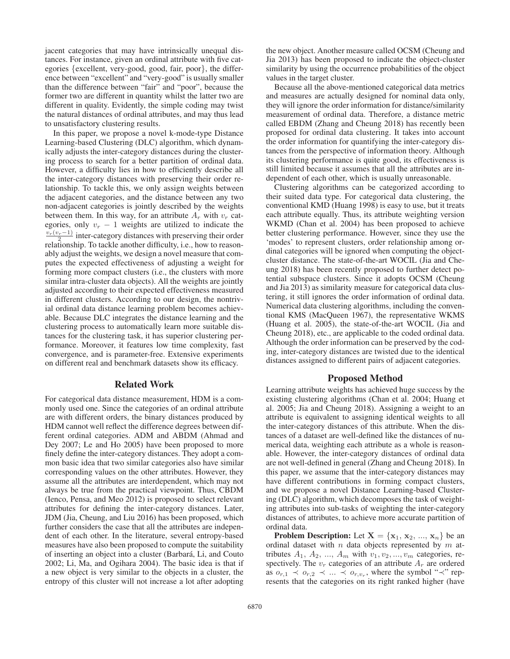jacent categories that may have intrinsically unequal distances. For instance, given an ordinal attribute with five categories {excellent, very-good, good, fair, poor}, the difference between "excellent" and "very-good" is usually smaller than the difference between "fair" and "poor", because the former two are different in quantity whilst the latter two are different in quality. Evidently, the simple coding may twist the natural distances of ordinal attributes, and may thus lead to unsatisfactory clustering results.

In this paper, we propose a novel k-mode-type Distance Learning-based Clustering (DLC) algorithm, which dynamically adjusts the inter-category distances during the clustering process to search for a better partition of ordinal data. However, a difficulty lies in how to efficiently describe all the inter-category distances with preserving their order relationship. To tackle this, we only assign weights between the adjacent categories, and the distance between any two non-adjacent categories is jointly described by the weights between them. In this way, for an attribute  $A_r$  with  $v_r$  cat-<br>egories, only  $v_r - 1$  weights are utilized to indicate the egories, only  $v_r - 1$  weights are utilized to indicate the  $\frac{v_r(v_r-1)}{2}$  inter-category distances with preserving their order relationship. To tackle another difficulty, i.e., how to reasonably adjust the weights, we design a novel measure that computes the expected effectiveness of adjusting a weight for forming more compact clusters (i.e., the clusters with more similar intra-cluster data objects). All the weights are jointly adjusted according to their expected effectiveness measured in different clusters. According to our design, the nontrivial ordinal data distance learning problem becomes achievable. Because DLC integrates the distance learning and the clustering process to automatically learn more suitable distances for the clustering task, it has superior clustering performance. Moreover, it features low time complexity, fast convergence, and is parameter-free. Extensive experiments on different real and benchmark datasets show its efficacy.

#### Related Work

For categorical data distance measurement, HDM is a commonly used one. Since the categories of an ordinal attribute are with different orders, the binary distances produced by HDM cannot well reflect the difference degrees between different ordinal categories. ADM and ABDM (Ahmad and Dey 2007; Le and Ho 2005) have been proposed to more finely define the inter-category distances. They adopt a common basic idea that two similar categories also have similar corresponding values on the other attributes. However, they assume all the attributes are interdependent, which may not always be true from the practical viewpoint. Thus, CBDM (Ienco, Pensa, and Meo 2012) is proposed to select relevant attributes for defining the inter-category distances. Later, JDM (Jia, Cheung, and Liu 2016) has been proposed, which further considers the case that all the attributes are independent of each other. In the literature, several entropy-based measures have also been proposed to compute the suitability of inserting an object into a cluster (Barbara, Li, and Couto ´ 2002; Li, Ma, and Ogihara 2004). The basic idea is that if a new object is very similar to the objects in a cluster, the entropy of this cluster will not increase a lot after adopting

the new object. Another measure called OCSM (Cheung and Jia 2013) has been proposed to indicate the object-cluster similarity by using the occurrence probabilities of the object values in the target cluster.

Because all the above-mentioned categorical data metrics and measures are actually designed for nominal data only, they will ignore the order information for distance/similarity measurement of ordinal data. Therefore, a distance metric called EBDM (Zhang and Cheung 2018) has recently been proposed for ordinal data clustering. It takes into account the order information for quantifying the inter-category distances from the perspective of information theory. Although its clustering performance is quite good, its effectiveness is still limited because it assumes that all the attributes are independent of each other, which is usually unreasonable.

Clustering algorithms can be categorized according to their suited data type. For categorical data clustering, the conventional KMD (Huang 1998) is easy to use, but it treats each attribute equally. Thus, its attribute weighting version WKMD (Chan et al. 2004) has been proposed to achieve better clustering performance. However, since they use the 'modes' to represent clusters, order relationship among ordinal categories will be ignored when computing the objectcluster distance. The state-of-the-art WOCIL (Jia and Cheung 2018) has been recently proposed to further detect potential subspace clusters. Since it adopts OCSM (Cheung and Jia 2013) as similarity measure for categorical data clustering, it still ignores the order information of ordinal data. Numerical data clustering algorithms, including the conventional KMS (MacQueen 1967), the representative WKMS (Huang et al. 2005), the state-of-the-art WOCIL (Jia and Cheung 2018), etc., are applicable to the coded ordinal data. Although the order information can be preserved by the coding, inter-category distances are twisted due to the identical distances assigned to different pairs of adjacent categories.

## Proposed Method

Learning attribute weights has achieved huge success by the existing clustering algorithms (Chan et al. 2004; Huang et al. 2005; Jia and Cheung 2018). Assigning a weight to an attribute is equivalent to assigning identical weights to all the inter-category distances of this attribute. When the distances of a dataset are well-defined like the distances of numerical data, weighting each attribute as a whole is reasonable. However, the inter-category distances of ordinal data are not well-defined in general (Zhang and Cheung 2018). In this paper, we assume that the inter-category distances may have different contributions in forming compact clusters, and we propose a novel Distance Learning-based Clustering (DLC) algorithm, which decomposes the task of weighting attributes into sub-tasks of weighting the inter-category distances of attributes, to achieve more accurate partition of ordinal data.

**Problem Description:** Let  $X = \{x_1, x_2, ..., x_n\}$  be an ordinal dataset with  $n$  data objects represented by  $m$  attributes  $A_1$ ,  $A_2$ , ...,  $A_m$  with  $v_1$ ,  $v_2$ , ...,  $v_m$  categories, respectively. The  $v_r$  categories of an attribute  $A_r$  are ordered as  $o_{r,1} \prec o_{r,2} \prec ... \prec o_{r,v_r}$ , where the symbol "≺" represents that the categories on its right ranked higher (have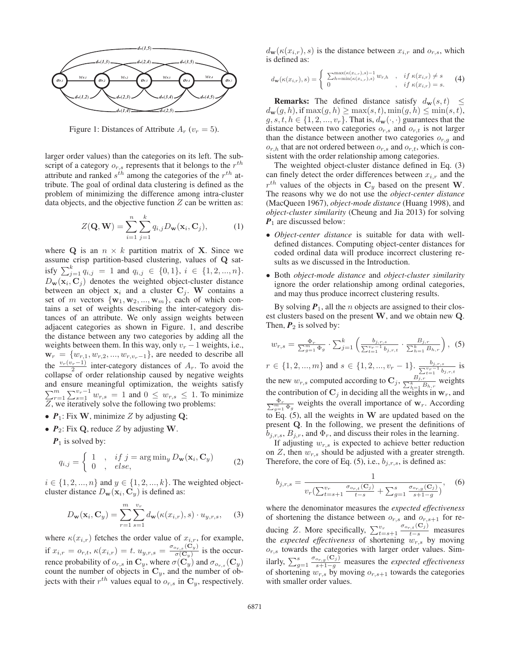

Figure 1: Distances of Attribute  $A_r$  ( $v_r = 5$ ).

larger order values) than the categories on its left. The subscript of a category  $o_{r,s}$  represents that it belongs to the  $r^{th}$ attribute and ranked  $s^{th}$  among the categories of the  $r^{th}$  attribute. The goal of ordinal data clustering is defined as the problem of minimizing the difference among intra-cluster data objects, and the objective function  $Z$  can be written as:

$$
Z(\mathbf{Q}, \mathbf{W}) = \sum_{i=1}^{n} \sum_{j=1}^{k} q_{i,j} D_{\mathbf{w}}(\mathbf{x}_i, \mathbf{C}_j),
$$
 (1)

where **Q** is an  $n \times k$  partition matrix of **X**. Since we assume crisp partition-based clustering, values of **Q** satisfy  $\sum_{j=1}^{k} q_{i,j} = 1$  and  $q_{i,j} \in \{0,1\}$ ,  $i \in \{1, 2, ..., n\}$ .<br>D  $(\mathbf{x}, \mathbf{C})$  denotes the weighted object cluster distance  $D_{\mathbf{w}}(\mathbf{x}_i, \mathbf{C}_j)$  denotes the weighted object-cluster distance between an object  $x_i$  and a cluster  $C_j$ . W contains a set of m vectors  $\{w_1, w_2, ..., w_m\}$ , each of which contains a set of weights describing the inter-category distances of an attribute. We only assign weights between adjacent categories as shown in Figure. 1, and describe the distance between any two categories by adding all the weights between them. In this way, only  $v_r - 1$  weights, i.e.,  $\mathbf{w}_r = \{w_{r,1}, w_{r,2}, ..., w_{r,v_r-1}\}$ , are needed to describe all the  $\frac{v_r(v_r-1)}{2}$  inter-category distances of  $A_r$ . To avoid the collapse of order relationship caused by peoplive weights collapse of order relationship caused by negative weights and ensure meaningful optimization, the weights satisfy  $\sum_{r=1}^{m} \sum_{s=1}^{v_r-1} w_{r,s} = 1$  and  $0 \leq w_{r,s} \leq 1$ . To minimize  $Z$ , we iteratively solve the following two problems:

- $P_1$ : Fix **W**, minimize Z by adjusting **Q**;
- *P*2: Fix **Q**, reduce Z by adjusting **W**.

 $P_1$  is solved by:

$$
q_{i,j} = \begin{cases} 1, & if j = \arg\min_y D_{\mathbf{w}}(\mathbf{x}_i, \mathbf{C}_y) \\ 0, & else, \end{cases}
$$
 (2)

 $i \in \{1, 2, ..., n\}$  and  $y \in \{1, 2, ..., k\}$ . The weighted objectcluster distance  $D_{\mathbf{w}}(\mathbf{x}_i, \mathbf{C}_y)$  is defined as:

$$
D_{\mathbf{w}}(\mathbf{x}_i, \mathbf{C}_y) = \sum_{r=1}^m \sum_{s=1}^{v_r} d_{\mathbf{w}}(\kappa(x_{i,r}), s) \cdot u_{y,r,s}, \quad (3)
$$

where  $\kappa(x_{i,r})$  fetches the order value of  $x_{i,r}$ , for example, if  $x_{i,r} = o_{r,t}$ ,  $\kappa(x_{i,r}) = t$ .  $u_{y,r,s} = \frac{\sigma_{o_{r,s}}(\mathbf{C}_y)}{\sigma(\mathbf{C}_y)}$  is the occurrence probability of  $o_{r,s}$  in  $\mathbf{C}_y$ , where  $\sigma(\mathbf{C}_y^{\checkmark})$  and  $\sigma_{o_{r,s}}(\mathbf{C}_y)$ count the number of objects in **<sup>C</sup>**y, and the number of objects with their  $r^{th}$  values equal to  $o_{r,s}$  in  $\mathbf{C}_v$ , respectively.

 $d_{\mathbf{w}}(\kappa(x_{i,r}), s)$  is the distance between  $x_{i,r}$  and  $o_{r,s}$ , which is defined as:

$$
d_{\mathbf{w}}(\kappa(x_{i,r}),s) = \begin{cases} \sum_{h=\min(\kappa(x_{i,r}),s)}^{\max(\kappa(x_{i,r}),s)-1} w_{r,h} & \text{if } \kappa(x_{i,r}) \neq s \\ 0 & \text{if } \kappa(x_{i,r}) = s. \end{cases} \tag{4}
$$

**Remarks:** The defined distance satisfy  $d_w(s, t) \leq$  $d_{\mathbf{w}}(g, h)$ , if  $\max(g, h) \geq \max(s, t)$ ,  $\min(g, h) \leq \min(s, t)$ ,  $g, s, t, h \in \{1, 2, ..., v_r\}$ . That is,  $d_{\mathbf{w}}(\cdot, \cdot)$  guarantees that the distance between two categories  $o_{r,s}$  and  $o_{r,t}$  is not larger than the distance between another two categories  $o_{r,q}$  and  $o_{r,h}$  that are not ordered between  $o_{r,s}$  and  $o_{r,t}$ , which is consistent with the order relationship among categories.

The weighted object-cluster distance defined in Eq. (3) can finely detect the order differences between  $x_{i,r}$  and the  $r^{th}$  values of the objects in  $C_y$  based on the present **W**. The reasons why we do not use the *object-center distance* (MacQueen 1967), *object-mode distance* (Huang 1998), and *object-cluster similarity* (Cheung and Jia 2013) for solving *P*<sub>1</sub> are discussed below:

- *Object-center distance* is suitable for data with welldefined distances. Computing object-center distances for coded ordinal data will produce incorrect clustering results as we discussed in the Introduction.
- Both *object-mode distance* and *object-cluster similarity* ignore the order relationship among ordinal categories, and may thus produce incorrect clustering results.

By solving  $P_1$ , all the *n* objects are assigned to their closest clusters based on the present **W**, and we obtain new **Q**. Then,  $P_2$  is solved by:

$$
w_{r,s} = \frac{\Phi_r}{\sum_{g=1}^m \Phi_g} \cdot \sum_{j=1}^k \left( \frac{b_{j,r,s}}{\sum_{t=1}^{v_r-1} b_{j,r,t}} \cdot \frac{B_{j,r}}{\sum_{h=1}^k B_{h,r}} \right),
$$
 (5)

 $r \in \{1, 2, ..., m\}$  and  $s \in \{1, 2, ..., v_r - 1\}$ .  $\frac{v_{v-1}}{\sum_{t=1}^{v_r-1} b_{j,r,t}}$ is the new  $w_{r,s}$  computed according to  $\mathbf{C}_j$ ,  $\frac{B_{j,r}}{\sum_{h=1}^k B_{h,r}}$ <br>the contribution of  $\mathbf{C}_j$ , in deciding all the weights in weights the contribution of  $\mathbf{C}_j$  in deciding all the weights in  $\mathbf{w}_r$ , and  $\sum_{\substack{p=1 \ p_i \leq x \\ p_i \in \mathbb{Z}}}\n\text{weights the overall importance of } \mathbf{w}_r.$  According to Eq. (5), all the weights in **W** are updated based on the present **Q**. In the following, we present the definitions of  $b_{j,r,s}, B_{j,r}$ , and  $\Phi_r$ , and discuss their roles in the learning.

If adjusting  $w_{r,s}$  is expected to achieve better reduction on  $Z$ , then  $w_{r,s}$  should be adjusted with a greater strength. Therefore, the core of Eq. (5), i.e.,  $b_{j,r,s}$ , is defined as:

$$
b_{j,r,s} = \frac{1}{v_r(\sum_{t=s+1}^{v_r} \frac{\sigma_{o_{r,t}}(C_j)}{t-s} + \sum_{g=1}^s \frac{\sigma_{o_{r,g}}(C_j)}{s+1-g})},
$$
(6)

where the denominator measures the *expected effectiveness* of shortening the distance between  $o_{r,s}$  and  $o_{r,s+1}$  for reducing Z. More specifically,  $\sum_{t=s+1}^{v_r}$ <br>the *expected effectiveness* of shortenic  $\frac{\sigma_{o_{r,t}}(C_j)}{t-s}$  measures the *expected effectiveness* of shortening  $w_{r,s}$  by moving  $o_{r,s}$  towards the categories with larger order values. Similarly,  $\sum_{g=1}^{s}$  $\frac{\sigma_{o_{r,g}}(C_j)}{s+1-g}$  measures the *expected effectiveness*<br><sup>211</sup> by moving  $\rho_{\text{c}}$  to towards the categories of shortening  $w_{r,s}$  by moving  $o_{r,s+1}$  towards the categories with smaller order values.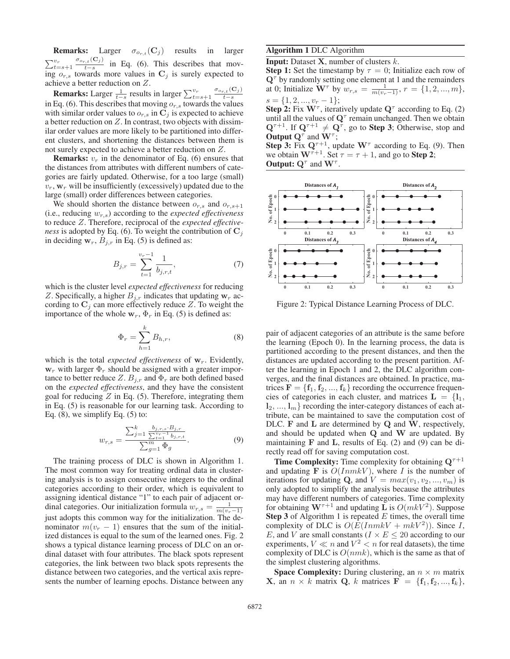**Remarks:** Larger  $\sigma_{o_r,t}(\mathbf{C}_j)$  results in larger  $\sum_{t=s+1}^{v_r}$  $\frac{\sigma_{o_{r,t}}(C_j)}{t-s}$  in Eq. (6). This describes that mov-<br>towards more values in C: is surely expected to ing  $o_{r,s}$  towards more values in  $\mathbf{C}_j$  is surely expected to achieve a better reduction on Z.

**Remarks:** Larger  $\frac{1}{t-s}$  results in larger  $\sum_{t=s+1}^{v_r}$ <br>Eq. (6) This describes that moving q towards  $\frac{\sigma_{o_{r,t}}({\bf C}_j)}{1}$ in Eq. (6). This describes that moving  $o_r$ ,s towards the values<br>with similar order values to  $o_r$  in  $\overline{C}$ , is expected to achieve with similar order values to  $o_{r,s}$  in  $\mathbf{C}_j$  is expected to achieve a better reduction on  $Z$ . In contrast, two objects with dissimilar order values are more likely to be partitioned into different clusters, and shortening the distances between them is not surely expected to achieve a better reduction on Z.

**Remarks:**  $v_r$  in the denominator of Eq. (6) ensures that the distances from attributes with different numbers of categories are fairly updated. Otherwise, for a too large (small)  $v_r$ ,  $w_r$  will be insufficiently (excessively) updated due to the large (small) order differences between categories.

We should shorten the distance between  $o_{r,s}$  and  $o_{r,s+1}$ (i.e., reducing  $w_{r,s}$ ) according to the *expected effectiveness* to reduce Z. Therefore, reciprocal of the *expected effectiveness* is adopted by Eq. (6). To weight the contribution of  $\mathbf{C}_j$ in deciding  $\mathbf{w}_r$ ,  $B_{j,r}$  in Eq. (5) is defined as:

$$
B_{j,r} = \sum_{t=1}^{v_r - 1} \frac{1}{b_{j,r,t}},\tag{7}
$$

which is the cluster level *expected effectiveness* for reducing Z. Specifically, a higher  $B_{j,r}$  indicates that updating  $w_r$  according to  $C_i$  can more effectively reduce Z. To weight the importance of the whole  $w_r$ ,  $\Phi_r$  in Eq. (5) is defined as:

$$
\Phi_r = \sum_{h=1}^k B_{h,r},\tag{8}
$$

which is the total *expected effectiveness* of  $w_r$ . Evidently,  $w_r$  with larger  $\Phi_r$  should be assigned with a greater importance to better reduce Z.  $B_{i,r}$  and  $\Phi_r$  are both defined based on the *expected effectiveness*, and they have the consistent goal for reducing  $Z$  in Eq. (5). Therefore, integrating them in Eq. (5) is reasonable for our learning task. According to Eq.  $(8)$ , we simplify Eq.  $(5)$  to:

$$
w_{r,s} = \frac{\sum_{j=1}^{k} \frac{b_{j,r,s} \cdot B_{j,r}}{\sum_{t=1}^{w_r-1} b_{j,r,t}}}{\sum_{g=1}^{m} \Phi_g}.
$$
(9)

The training process of DLC is shown in Algorithm 1. The most common way for treating ordinal data in clustering analysis is to assign consecutive integers to the ordinal categories according to their order, which is equivalent to assigning identical distance "1" to each pair of adjacent ordinal categories. Our initialization formula  $w_{r,s} = \frac{1}{m(v_r-1)}$ just adopts this common way for the initialization. The denominator  $m(v_r - 1)$  ensures that the sum of the initialized distances is equal to the sum of the learned ones. Fig. 2 shows a typical distance learning process of DLC on an ordinal dataset with four attributes. The black spots represent categories, the link between two black spots represents the distance between two categories, and the vertical axis represents the number of learning epochs. Distance between any

## Algorithm 1 DLC Algorithm

Input: Dataset **X**, number of clusters k.

**Step 1:** Set the timestamp by  $\tau = 0$ ; Initialize each row of **Q**<sup>τ</sup> by randomly setting one element at 1 and the remainders at 0; Initialize  $\mathbf{W}^{\tau}$  by  $w_{r,s} = \frac{1}{m(v_r-1)}, r = \{1, 2, ..., m\},$  $s = \{1, 2, ..., v_r - 1\};$ <br>**Step 2:** Fix  $\mathbf{W}^{\tau}$ , iteratively update  $\mathbf{Q}^{\tau}$  according to Eq. (2)

until all the values of **Q**<sup>τ</sup> remain unchanged. Then we obtain  $\mathbf{Q}^{\tau+1}$ . If  $\mathbf{Q}^{\tau+1} \neq \mathbf{Q}^{\tau}$ , go to **Step 3**; Otherwise, stop and Output **Q**<sup>τ</sup> and **W**<sup>τ</sup> ;

**Step 3:** Fix  $Q^{\tau+1}$ , update  $W^{\tau}$  according to Eq. (9). Then we obtain  $\mathbf{W}^{\tau+1}$ . Set  $\tau = \tau + 1$ , and go to **Step 2**; **Output:**  $\mathbf{Q}^{\tau}$  and  $\mathbf{W}^{\tau}$ .



Figure 2: Typical Distance Learning Process of DLC.

pair of adjacent categories of an attribute is the same before the learning (Epoch 0). In the learning process, the data is partitioned according to the present distances, and then the distances are updated according to the present partition. After the learning in Epoch 1 and 2, the DLC algorithm converges, and the final distances are obtained. In practice, matrices  $\mathbf{F} = \{\mathbf{f}_1, \mathbf{f}_2, ..., \mathbf{f}_k\}$  recording the occurrence frequencies of categories in each cluster, and matrices  $L = \{l_1,$  $\mathbf{l}_2, \ldots, \mathbf{l}_m$  recording the inter-category distances of each attribute, can be maintained to save the computation cost of DLC. **F** and **L** are determined by **Q** and **W**, respectively, and should be updated when **Q** and **W** are updated. By maintaining **F** and **L**, results of Eq. (2) and (9) can be directly read off for saving computation cost.

**Time Complexity:** Time complexity for obtaining  $Q^{\tau+1}$ and updating  $\mathbf{\bar{F}}$  is  $O(InmkV)$ , where I is the number of iterations for updating **Q**, and  $V = max(v_1, v_2, ..., v_m)$  is only adopted to simplify the analysis because the attributes may have different numbers of categories. Time complexity for obtaining  $W^{\tau+1}$  and updating **L** is  $O(mkV^2)$ . Suppose **Step 3** of Algorithm 1 is repeated  $E$  times, the overall time complexity of DLC is  $O(E(InmkV + mkV^2))$ . Since I, E, and V are small constants ( $I \times E \leq 20$  according to our experiments,  $V \ll n$  and  $V^2 < n$  for real datasets), the time complexity of DLC is  $O(nmk)$ , which is the same as that of the simplest clustering algorithms.

**Space Complexity:** During clustering, an  $n \times m$  matrix **X**, an  $n \times k$  matrix **Q**, k matrices  $\mathbf{F} = \{\mathbf{f}_1, \mathbf{f}_2, ..., \mathbf{f}_k\},\$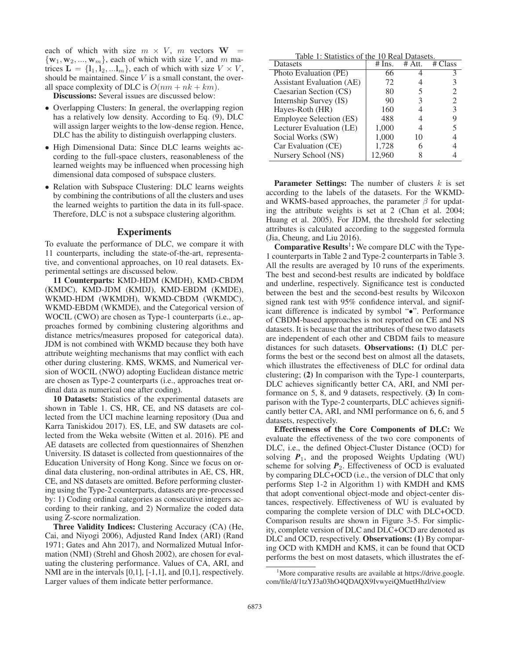each of which with size  $m \times V$ ,  $m$  vectors  $W =$  ${\bf w}_1, {\bf w}_2, ..., {\bf w}_m$ , each of which with size V, and m matrices  $\mathbf{L} = \{\mathbf{l}_1, \mathbf{l}_2, \ldots, \mathbf{l}_m\}$ , each of which with size  $V \times V$ , should be maintained. Since  $V$  is a small constant, the overall space complexity of DLC is  $O(nm + nk + km)$ .

Discussions: Several issues are discussed below:

- Overlapping Clusters: In general, the overlapping region has a relatively low density. According to Eq. (9), DLC will assign larger weights to the low-dense region. Hence, DLC has the ability to distinguish overlapping clusters.
- High Dimensional Data: Since DLC learns weights according to the full-space clusters, reasonableness of the learned weights may be influenced when processing high dimensional data composed of subspace clusters.
- Relation with Subspace Clustering: DLC learns weights by combining the contributions of all the clusters and uses the learned weights to partition the data in its full-space. Therefore, DLC is not a subspace clustering algorithm.

#### **Experiments**

To evaluate the performance of DLC, we compare it with 11 counterparts, including the state-of-the-art, representative, and conventional approaches, on 10 real datasets. Experimental settings are discussed below.

11 Counterparts: KMD-HDM (KMDH), KMD-CBDM (KMDC), KMD-JDM (KMDJ), KMD-EBDM (KMDE), WKMD-HDM (WKMDH), WKMD-CBDM (WKMDC), WKMD-EBDM (WKMDE), and the Categorical version of WOCIL (CWO) are chosen as Type-1 counterparts (i.e., approaches formed by combining clustering algorithms and distance metrics/measures proposed for categorical data). JDM is not combined with WKMD because they both have attribute weighting mechanisms that may conflict with each other during clustering. KMS, WKMS, and Numerical version of WOCIL (NWO) adopting Euclidean distance metric are chosen as Type-2 counterparts (i.e., approaches treat ordinal data as numerical one after coding).

10 Datasets: Statistics of the experimental datasets are shown in Table 1. CS, HR, CE, and NS datasets are collected from the UCI machine learning repository (Dua and Karra Taniskidou 2017). ES, LE, and SW datasets are collected from the Weka website (Witten et al. 2016). PE and AE datasets are collected from questionnaires of Shenzhen University. IS dataset is collected from questionnaires of the Education University of Hong Kong. Since we focus on ordinal data clustering, non-ordinal attributes in AE, CS, HR, CE, and NS datasets are omitted. Before performing clustering using the Type-2 counterparts, datasets are pre-processed by: 1) Coding ordinal categories as consecutive integers according to their ranking, and 2) Normalize the coded data using Z-score normalization.

Three Validity Indices: Clustering Accuracy (CA) (He, Cai, and Niyogi 2006), Adjusted Rand Index (ARI) (Rand 1971; Gates and Ahn 2017), and Normalized Mutual Information (NMI) (Strehl and Ghosh 2002), are chosen for evaluating the clustering performance. Values of CA, ARI, and NMI are in the intervals [0,1], [-1,1], and [0,1], respectively. Larger values of them indicate better performance.

|  |  |  | Table 1: Statistics of the 10 Real Datasets. |  |
|--|--|--|----------------------------------------------|--|
|  |  |  |                                              |  |

| <b>Datasets</b>                  | $#$ Ins. | $#$ Att. | # C<br>`lass                |
|----------------------------------|----------|----------|-----------------------------|
| Photo Evaluation (PE)            | 66       |          |                             |
| <b>Assistant Evaluation (AE)</b> | 72       |          |                             |
| Caesarian Section (CS)           | 80       |          | 2                           |
| Internship Survey (IS)           | 90       |          | $\mathcal{D}_{\mathcal{L}}$ |
| Hayes-Roth (HR)                  | 160      |          | 3                           |
| <b>Employee Selection (ES)</b>   | 488      |          |                             |
| Lecturer Evaluation (LE)         | 1,000    |          |                             |
| Social Works (SW)                | 1,000    | 10       |                             |
| Car Evaluation (CE)              | 1,728    |          |                             |
| Nursery School (NS)              | 12,960   |          |                             |

**Parameter Settings:** The number of clusters  $k$  is set according to the labels of the datasets. For the WKMDand WKMS-based approaches, the parameter  $\beta$  for updating the attribute weights is set at 2 (Chan et al. 2004; Huang et al. 2005). For JDM, the threshold for selecting attributes is calculated according to the suggested formula (Jia, Cheung, and Liu 2016).

**Comparative Results<sup>1</sup>:** We compare DLC with the Type-1 counterparts in Table 2 and Type-2 counterparts in Table 3. All the results are averaged by 10 runs of the experiments. The best and second-best results are indicated by boldface and underline, respectively. Significance test is conducted between the best and the second-best results by Wilcoxon signed rank test with 95% confidence interval, and significant difference is indicated by symbol "•". Performance of CBDM-based approaches is not reported on CE and NS datasets. It is because that the attributes of these two datasets are independent of each other and CBDM fails to measure distances for such datasets. Observations: (1) DLC performs the best or the second best on almost all the datasets, which illustrates the effectiveness of DLC for ordinal data clustering; (2) In comparison with the Type-1 counterparts, DLC achieves significantly better CA, ARI, and NMI performance on 5, 8, and 9 datasets, respectively. (3) In comparison with the Type-2 counterparts, DLC achieves significantly better CA, ARI, and NMI performance on 6, 6, and 5 datasets, respectively.

Effectiveness of the Core Components of DLC: We evaluate the effectiveness of the two core components of DLC, i.e., the defined Object-Cluster Distance (OCD) for solving  $P_1$ , and the proposed Weights Updating (WU) scheme for solving  $P_2$ . Effectiveness of OCD is evaluated by comparing DLC+OCD (i.e., the version of DLC that only performs Step 1-2 in Algorithm 1) with KMDH and KMS that adopt conventional object-mode and object-center distances, respectively. Effectiveness of WU is evaluated by comparing the complete version of DLC with DLC+OCD. Comparison results are shown in Figure 3-5. For simplicity, complete version of DLC and DLC+OCD are denoted as DLC and OCD, respectively. **Observations:** (1) By comparing OCD with KMDH and KMS, it can be found that OCD performs the best on most datasets, which illustrates the ef-

<sup>&</sup>lt;sup>1</sup>More comparative results are available at https://drive.google. com/file/d/1tzYJ3a03hO4QDAQX9IvwyeiQMuetHhzl/view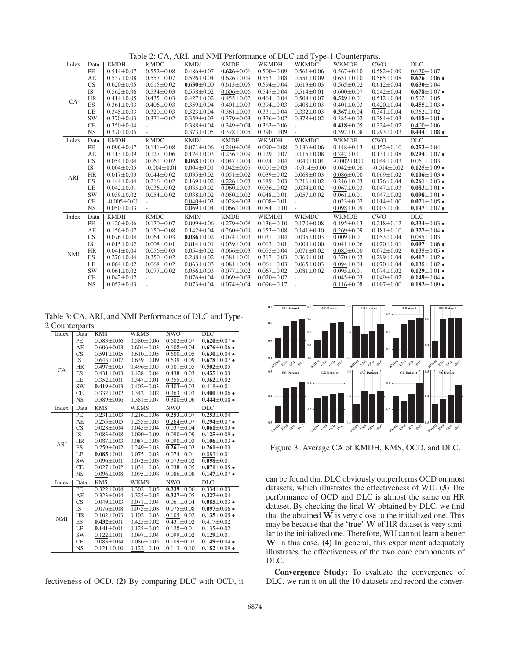Table 2: CA, ARI, and NMI Performance of DLC and Type-1 Counterparts.

| $0.552 \pm 0.08$<br>PE<br>$0.514 \pm 0.07$<br>$0.486 \pm 0.07$<br>$0.626 \pm 0.06$<br>$0.500 \pm 0.09$<br>$0.561 \pm 0.06$<br>$0.567 \pm 0.10$<br>$0.582 \pm 0.09$<br>$0.620 \pm 0.07$<br>AE<br>$0.553 \pm 0.08$<br>$0.676 \pm 0.06$ $\bullet$<br>$0.537 \pm 0.08$<br>$0.557 \pm 0.07$<br>$0.526 \pm 0.04$<br>$0.626 \pm 0.09$<br>$0.551 \pm 0.09$<br>$0.631 \pm 0.10$<br>$0.565 \pm 0.08$<br><b>CS</b><br>$0.612 \pm 0.04$<br>$0.620 \pm 0.05$<br>$0.615 \pm 0.02$<br>$0.630 \pm 0.00$<br>$0.613 \pm 0.05$<br>$0.594 \pm 0.04$<br>$0.613 \pm 0.03$<br>$0.565 \pm 0.02$<br>$0.630 \pm 0.04$<br>IS<br>$0.562 \pm 0.06$<br>$0.534 \pm 0.03$<br>$0.558 \pm 0.02$<br>$0.547 \pm 0.04$<br>$0.514 \pm 0.01$<br>$0.542 \pm 0.04$<br>$0.678 \pm 0.07$ $\bullet$<br>$0.606 \pm 0.06$<br>$0.600 \pm 0.07$<br><b>HR</b><br>$0.414 \pm 0.05$<br>$0.435 \pm 0.03$<br>$0.464 \pm 0.04$<br>$0.504 \pm 0.07$<br>$0.529 \pm 0.01$<br>$0.512 \pm 0.04$<br>$0.502 \pm 0.05$<br>$0.427 \pm 0.02$<br>$0.455 \pm 0.02$<br><b>CA</b><br>ES<br>$0.361 \pm 0.03$<br>$0.406 \pm 0.03$<br>$0.359 \pm 0.04$<br>$0.401 \pm 0.03$<br>$0.394 \pm 0.03$<br>$0.408 \pm 0.03$<br>$0.401 \pm 0.03$<br>$0.420 \pm 0.04$<br>$0.455 \pm 0.03$ $\bullet$<br>$0.341 \pm 0.04$<br>LE<br>$0.345 \pm 0.03$<br>$0.320 \pm 0.03$<br>$0.323 \pm 0.04$<br>$0.361 \pm 0.03$<br>$0.331 \pm 0.04$<br>$0.332 \pm 0.03$<br>$0.367 \pm 0.04$<br>$0.362 \pm 0.02$<br><b>SW</b><br>$0.359 \pm 0.03$<br>$0.384 \pm 0.03$<br>$0.370 \pm 0.03$<br>$0.371 \pm 0.02$<br>$0.379 \pm 0.03$<br>$0.376 \pm 0.02$<br>$0.378 \pm 0.02$<br>$0.385 \pm 0.02$<br>$0.418 \pm 0.01$ $\bullet$<br><b>CE</b><br>$0.418 + 0.05$<br>$0.350 \pm 0.04$<br>$0.388 \pm 0.04$<br>$0.349 \pm 0.04$<br>$0.363 \pm 0.06$<br>$0.334 \pm 0.02$<br>$0.400 \pm 0.06$<br>$\bar{a}$<br><b>NS</b><br>$0.370 \pm 0.05$<br>$0.373 \pm 0.05$<br>$0.378 \pm 0.05$<br>$0.390 \pm 0.09$<br>$0.397 + 0.08$<br>$0.293 \pm 0.03$<br>$0.444 \pm 0.08$ $\bullet$<br>$\equiv$<br><b>KMDH</b><br><b>KMDC</b><br><b>KMDJ</b><br><b>KMDE</b><br>CWO<br>DLC<br><b>WKMDH</b><br><b>WKMDC</b><br><b>WKMDE</b><br>Index<br>Data<br>$0.152 \pm 0.10$<br>$0.253 \pm 0.04$<br>PE<br>$0.096 \pm 0.07$<br>$0.141 \pm 0.08$<br>$0.071 \pm 0.06$<br>$0.240 \pm 0.08$<br>$0.090 \pm 0.08$<br>$0.136 \pm 0.06$<br>$0.148 \pm 0.13$<br>AE<br>$0.127 \pm 0.06$<br>$0.124 \pm 0.03$<br>$0.236 \pm 0.09$<br>$0.129 \pm 0.07$<br>$0.131 \pm 0.08$<br>$0.294 \pm 0.07$ $\bullet$<br>$0.113 \pm 0.09$<br>$0.115 \pm 0.08$<br>$0.247 \pm 0.11$<br><b>CS</b><br>$0.024 \pm 0.04$<br>$-0.002 \pm 0.00$<br>$0.044 \pm 0.03$<br>$0.054 \pm 0.04$<br>$0.061 \pm 0.02$<br>$0.068 \pm 0.00$<br>$0.047 \pm 0.04$<br>$0.040 \pm 0.04$<br>$0.061 \pm 0.03$<br><b>IS</b><br>$0.004 \pm 0.05$<br>$0.004 \pm 0.01$<br>$0.042 \pm 0.05$<br>$0.001 \pm 0.03$<br>$-0.014 \pm 0.00$<br>$0.042 \pm 0.06$<br>$0.125 \pm 0.09$ $\bullet$<br>$-0.004 \pm 0.01$<br>$-0.014 \pm 0.02$<br><b>HR</b><br>$0.017 + 0.03$<br>$0.044 \pm 0.02$<br>$0.035 \pm 0.02$<br>$0.051 \pm 0.02$<br>$0.039 \pm 0.02$<br>$0.068 \pm 0.03$<br>$0.086 \pm 0.00$<br>$0.069 \pm 0.02$<br>$0.106 \pm 0.03$ •<br>ARI<br>ES<br>$0.144 \pm 0.04$<br>$0.216 \pm 0.02$<br>$0.169 \pm 0.02$<br>$0.226 \pm 0.03$<br>$0.189 \pm 0.03$<br>$0.216 \pm 0.02$<br>$0.216 \pm 0.03$<br>$0.176 \pm 0.04$<br>$0.261 \pm 0.03$ $\bullet$<br>LE<br>$0.042 \pm 0.01$<br>$0.035 \pm 0.02$<br>$0.036 \pm 0.02$<br>$0.034 \pm 0.02$<br>$0.047 \pm 0.03$<br>$0.036 \pm 0.02$<br>$0.060 \pm 0.03$<br>$0.067 \pm 0.03$<br>$0.083 \pm 0.01$ $\bullet$<br><b>SW</b><br>$0.038 \pm 0.02$<br>$0.048 \pm 0.01$<br>$0.047 + 0.02$<br>$0.039 \pm 0.02$<br>$0.054 \pm 0.02$<br>$0.050 \pm 0.02$<br>$0.057 \pm 0.02$<br>$0.061 \pm 0.01$<br>$0.098 \pm 0.01$ $\bullet$<br>CE<br>$-0.005 \pm 0.01$<br>$0.040 \pm 0.03$<br>$0.028 \pm 0.03$<br>$0.008 \pm 0.01$<br>$0.023 \pm 0.02$<br>$0.014 \pm 0.00$<br>$0.071 \pm 0.05$ $\bullet$<br>÷.<br><b>NS</b><br>$0.050 \pm 0.03$<br>$0.069 \pm 0.04$<br>$0.066 \pm 0.04$<br>$0.084 \pm 0.10$<br>$0.098 \pm 0.09$<br>$0.003 \pm 0.00$<br>$0.147 \pm 0.07$ $\bullet$<br>$\overline{\phantom{a}}$<br>CWO<br><b>KMDH</b><br><b>KMDC</b><br><b>KMDJ</b><br><b>KMDE</b><br><b>WKMDH</b><br><b>WKMDC</b><br><b>WKMDE</b><br>$\overline{\text{DLC}}$<br>Index<br>Data<br>$0.170 \pm 0.07$<br>$0.099 \pm 0.06$<br>$0.218 \pm 0.12$<br>$0.334 \pm 0.03$ $\bullet$<br>PE<br>$0.126 \pm 0.06$<br>$0.279 \pm 0.08$<br>$0.136 \pm 0.10$<br>$0.170 \pm 0.08$<br>$0.195 \pm 0.13$<br>$0.142 \pm 0.04$<br>$0.327 \pm 0.04$ •<br>AE<br>$0.156 \pm 0.07$<br>$0.150 \pm 0.08$<br>$0.260 \pm 0.09$<br>$0.153 \pm 0.08$<br>$0.141 \pm 0.10$<br>$0.269 \pm 0.09$<br>$0.181 \pm 0.10$<br><b>CS</b><br>$0.076 \pm 0.04$<br>$0.064 \pm 0.03$<br>$0.086 \pm 0.02$<br>$0.074 \pm 0.03$<br>$0.031 \pm 0.04$<br>$0.035 \pm 0.03$<br>$0.009 \pm 0.01$<br>$0.053 \pm 0.04$<br>$0.085 \pm 0.03$<br>IS<br>$0.015 \pm 0.02$<br>$0.008 + 0.01$<br>$0.014 \pm 0.01$<br>$0.039 \pm 0.04$<br>$0.013 \pm 0.01$<br>$0.004 \pm 0.00$<br>$0.041 \pm 0.06$<br>$0.020 \pm 0.01$<br>$0.097 \pm 0.06$ $\bullet$<br>HR<br>$0.041 \pm 0.04$<br>$0.056 \pm 0.03$<br>$0.054 \pm 0.02$<br>$0.055 \pm 0.04$<br>$0.071 \pm 0.02$<br>$0.072 \pm 0.02$<br>$0.135 \pm 0.05$ •<br>$0.066 \pm 0.03$<br>$0.085 \pm 0.00$<br><b>NMI</b><br>ES<br>$0.288 + 0.02$<br>$0.317 \pm 0.03$<br>$0.360 \pm 0.01$<br>$0.299 \pm 0.04$<br>$0.417 \pm 0.02$ $\bullet$<br>$0.276 \pm 0.04$<br>$0.350 \pm 0.02$<br>$0.381 \pm 0.01$<br>$0.370 \pm 0.03$<br>LE<br>$0.064 \pm 0.02$<br>$0.068 \pm 0.02$<br>$0.063 \pm 0.03$<br>$0.061 \pm 0.03$<br>$0.065 \pm 0.03$<br>$0.094 \pm 0.04$<br>$0.070 \pm 0.04$<br>$0.135 \pm 0.02$ •<br>$0.081 \pm 0.04$<br><b>SW</b><br>$0.061 \pm 0.02$<br>$0.077 + 0.02$<br>$0.056 \pm 0.03$<br>$0.077 \pm 0.02$<br>$0.067 \pm 0.02$<br>$0.095 \pm 0.01$<br>$0.074 \pm 0.02$<br>$0.129 \pm 0.01$ $\bullet$<br>$0.081 \pm 0.02$<br>CE<br>$0.020 \pm 0.02$<br>$0.042 \pm 0.02$<br>$0.076 \pm 0.04$<br>$0.069 \pm 0.03$<br>$0.045 \pm 0.03$<br>$0.049 \pm 0.02$<br>$0.149 \pm 0.04$ $\bullet$<br>$\omega$<br>÷,<br><b>NS</b><br>$0.073 \pm 0.04$<br>$0.053 \pm 0.03$<br>$0.074 \pm 0.04$<br>$0.096 \pm 0.17$<br>$0.007 \pm 0.00$<br>$0.182 \pm 0.09$ $\bullet$<br>$\mathcal{L}$<br>$0.116 \pm 0.08$ | Index | Data | <b>KMDH</b> | <b>KMDC</b> | <b>KMDJ</b> | <b>KMDE</b> | <b>WKMDH</b> | Table 2. CA, ANI, and IVIVII Ferrormance of DLC and Type-T Counterparts.<br><b>WKMDC</b> | <b>WKMDE</b> | CWO | <b>DLC</b> |
|----------------------------------------------------------------------------------------------------------------------------------------------------------------------------------------------------------------------------------------------------------------------------------------------------------------------------------------------------------------------------------------------------------------------------------------------------------------------------------------------------------------------------------------------------------------------------------------------------------------------------------------------------------------------------------------------------------------------------------------------------------------------------------------------------------------------------------------------------------------------------------------------------------------------------------------------------------------------------------------------------------------------------------------------------------------------------------------------------------------------------------------------------------------------------------------------------------------------------------------------------------------------------------------------------------------------------------------------------------------------------------------------------------------------------------------------------------------------------------------------------------------------------------------------------------------------------------------------------------------------------------------------------------------------------------------------------------------------------------------------------------------------------------------------------------------------------------------------------------------------------------------------------------------------------------------------------------------------------------------------------------------------------------------------------------------------------------------------------------------------------------------------------------------------------------------------------------------------------------------------------------------------------------------------------------------------------------------------------------------------------------------------------------------------------------------------------------------------------------------------------------------------------------------------------------------------------------------------------------------------------------------------------------------------------------------------------------------------------------------------------------------------------------------------------------------------------------------------------------------------------------------------------------------------------------------------------------------------------------------------------------------------------------------------------------------------------------------------------------------------------------------------------------------------------------------------------------------------------------------------------------------------------------------------------------------------------------------------------------------------------------------------------------------------------------------------------------------------------------------------------------------------------------------------------------------------------------------------------------------------------------------------------------------------------------------------------------------------------------------------------------------------------------------------------------------------------------------------------------------------------------------------------------------------------------------------------------------------------------------------------------------------------------------------------------------------------------------------------------------------------------------------------------------------------------------------------------------------------------------------------------------------------------------------------------------------------------------------------------------------------------------------------------------------------------------------------------------------------------------------------------------------------------------------------------------------------------------------------------------------------------------------------------------------------------------------------------------------------------------------------------------------------------------------------------------------------------------------------------------------------------------------------------------------------------------------------------------------------------------------------------------------------------------------------------------------------------------------------------------------------------------------------------------------------------------------------------------------------------------------------------------------------------------------------------------------------------------------------------------------------------------------------------------------------------------------------------------------------------------------------------------------------------------------------------------------------------------------------------------------------------------------------------------------------------------------------------------------------------------------------------------------------------------------------------------------------------------------------------------------------------------------------------------------------------------------------------------------------------------------------------------------------------------------------------------------------------------------------------------------------------------------------------------------------------------------------------------------------------------------------------------------------------|-------|------|-------------|-------------|-------------|-------------|--------------|------------------------------------------------------------------------------------------|--------------|-----|------------|
|                                                                                                                                                                                                                                                                                                                                                                                                                                                                                                                                                                                                                                                                                                                                                                                                                                                                                                                                                                                                                                                                                                                                                                                                                                                                                                                                                                                                                                                                                                                                                                                                                                                                                                                                                                                                                                                                                                                                                                                                                                                                                                                                                                                                                                                                                                                                                                                                                                                                                                                                                                                                                                                                                                                                                                                                                                                                                                                                                                                                                                                                                                                                                                                                                                                                                                                                                                                                                                                                                                                                                                                                                                                                                                                                                                                                                                                                                                                                                                                                                                                                                                                                                                                                                                                                                                                                                                                                                                                                                                                                                                                                                                                                                                                                                                                                                                                                                                                                                                                                                                                                                                                                                                                                                                                                                                                                                                                                                                                                                                                                                                                                                                                                                                                                                                                                                                                                                                                                                                                                                                                                                                                                                                                                                                                                                  |       |      |             |             |             |             |              |                                                                                          |              |     |            |
|                                                                                                                                                                                                                                                                                                                                                                                                                                                                                                                                                                                                                                                                                                                                                                                                                                                                                                                                                                                                                                                                                                                                                                                                                                                                                                                                                                                                                                                                                                                                                                                                                                                                                                                                                                                                                                                                                                                                                                                                                                                                                                                                                                                                                                                                                                                                                                                                                                                                                                                                                                                                                                                                                                                                                                                                                                                                                                                                                                                                                                                                                                                                                                                                                                                                                                                                                                                                                                                                                                                                                                                                                                                                                                                                                                                                                                                                                                                                                                                                                                                                                                                                                                                                                                                                                                                                                                                                                                                                                                                                                                                                                                                                                                                                                                                                                                                                                                                                                                                                                                                                                                                                                                                                                                                                                                                                                                                                                                                                                                                                                                                                                                                                                                                                                                                                                                                                                                                                                                                                                                                                                                                                                                                                                                                                                  |       |      |             |             |             |             |              |                                                                                          |              |     |            |
|                                                                                                                                                                                                                                                                                                                                                                                                                                                                                                                                                                                                                                                                                                                                                                                                                                                                                                                                                                                                                                                                                                                                                                                                                                                                                                                                                                                                                                                                                                                                                                                                                                                                                                                                                                                                                                                                                                                                                                                                                                                                                                                                                                                                                                                                                                                                                                                                                                                                                                                                                                                                                                                                                                                                                                                                                                                                                                                                                                                                                                                                                                                                                                                                                                                                                                                                                                                                                                                                                                                                                                                                                                                                                                                                                                                                                                                                                                                                                                                                                                                                                                                                                                                                                                                                                                                                                                                                                                                                                                                                                                                                                                                                                                                                                                                                                                                                                                                                                                                                                                                                                                                                                                                                                                                                                                                                                                                                                                                                                                                                                                                                                                                                                                                                                                                                                                                                                                                                                                                                                                                                                                                                                                                                                                                                                  |       |      |             |             |             |             |              |                                                                                          |              |     |            |
|                                                                                                                                                                                                                                                                                                                                                                                                                                                                                                                                                                                                                                                                                                                                                                                                                                                                                                                                                                                                                                                                                                                                                                                                                                                                                                                                                                                                                                                                                                                                                                                                                                                                                                                                                                                                                                                                                                                                                                                                                                                                                                                                                                                                                                                                                                                                                                                                                                                                                                                                                                                                                                                                                                                                                                                                                                                                                                                                                                                                                                                                                                                                                                                                                                                                                                                                                                                                                                                                                                                                                                                                                                                                                                                                                                                                                                                                                                                                                                                                                                                                                                                                                                                                                                                                                                                                                                                                                                                                                                                                                                                                                                                                                                                                                                                                                                                                                                                                                                                                                                                                                                                                                                                                                                                                                                                                                                                                                                                                                                                                                                                                                                                                                                                                                                                                                                                                                                                                                                                                                                                                                                                                                                                                                                                                                  |       |      |             |             |             |             |              |                                                                                          |              |     |            |
|                                                                                                                                                                                                                                                                                                                                                                                                                                                                                                                                                                                                                                                                                                                                                                                                                                                                                                                                                                                                                                                                                                                                                                                                                                                                                                                                                                                                                                                                                                                                                                                                                                                                                                                                                                                                                                                                                                                                                                                                                                                                                                                                                                                                                                                                                                                                                                                                                                                                                                                                                                                                                                                                                                                                                                                                                                                                                                                                                                                                                                                                                                                                                                                                                                                                                                                                                                                                                                                                                                                                                                                                                                                                                                                                                                                                                                                                                                                                                                                                                                                                                                                                                                                                                                                                                                                                                                                                                                                                                                                                                                                                                                                                                                                                                                                                                                                                                                                                                                                                                                                                                                                                                                                                                                                                                                                                                                                                                                                                                                                                                                                                                                                                                                                                                                                                                                                                                                                                                                                                                                                                                                                                                                                                                                                                                  |       |      |             |             |             |             |              |                                                                                          |              |     |            |
|                                                                                                                                                                                                                                                                                                                                                                                                                                                                                                                                                                                                                                                                                                                                                                                                                                                                                                                                                                                                                                                                                                                                                                                                                                                                                                                                                                                                                                                                                                                                                                                                                                                                                                                                                                                                                                                                                                                                                                                                                                                                                                                                                                                                                                                                                                                                                                                                                                                                                                                                                                                                                                                                                                                                                                                                                                                                                                                                                                                                                                                                                                                                                                                                                                                                                                                                                                                                                                                                                                                                                                                                                                                                                                                                                                                                                                                                                                                                                                                                                                                                                                                                                                                                                                                                                                                                                                                                                                                                                                                                                                                                                                                                                                                                                                                                                                                                                                                                                                                                                                                                                                                                                                                                                                                                                                                                                                                                                                                                                                                                                                                                                                                                                                                                                                                                                                                                                                                                                                                                                                                                                                                                                                                                                                                                                  |       |      |             |             |             |             |              |                                                                                          |              |     |            |
|                                                                                                                                                                                                                                                                                                                                                                                                                                                                                                                                                                                                                                                                                                                                                                                                                                                                                                                                                                                                                                                                                                                                                                                                                                                                                                                                                                                                                                                                                                                                                                                                                                                                                                                                                                                                                                                                                                                                                                                                                                                                                                                                                                                                                                                                                                                                                                                                                                                                                                                                                                                                                                                                                                                                                                                                                                                                                                                                                                                                                                                                                                                                                                                                                                                                                                                                                                                                                                                                                                                                                                                                                                                                                                                                                                                                                                                                                                                                                                                                                                                                                                                                                                                                                                                                                                                                                                                                                                                                                                                                                                                                                                                                                                                                                                                                                                                                                                                                                                                                                                                                                                                                                                                                                                                                                                                                                                                                                                                                                                                                                                                                                                                                                                                                                                                                                                                                                                                                                                                                                                                                                                                                                                                                                                                                                  |       |      |             |             |             |             |              |                                                                                          |              |     |            |
|                                                                                                                                                                                                                                                                                                                                                                                                                                                                                                                                                                                                                                                                                                                                                                                                                                                                                                                                                                                                                                                                                                                                                                                                                                                                                                                                                                                                                                                                                                                                                                                                                                                                                                                                                                                                                                                                                                                                                                                                                                                                                                                                                                                                                                                                                                                                                                                                                                                                                                                                                                                                                                                                                                                                                                                                                                                                                                                                                                                                                                                                                                                                                                                                                                                                                                                                                                                                                                                                                                                                                                                                                                                                                                                                                                                                                                                                                                                                                                                                                                                                                                                                                                                                                                                                                                                                                                                                                                                                                                                                                                                                                                                                                                                                                                                                                                                                                                                                                                                                                                                                                                                                                                                                                                                                                                                                                                                                                                                                                                                                                                                                                                                                                                                                                                                                                                                                                                                                                                                                                                                                                                                                                                                                                                                                                  |       |      |             |             |             |             |              |                                                                                          |              |     |            |
|                                                                                                                                                                                                                                                                                                                                                                                                                                                                                                                                                                                                                                                                                                                                                                                                                                                                                                                                                                                                                                                                                                                                                                                                                                                                                                                                                                                                                                                                                                                                                                                                                                                                                                                                                                                                                                                                                                                                                                                                                                                                                                                                                                                                                                                                                                                                                                                                                                                                                                                                                                                                                                                                                                                                                                                                                                                                                                                                                                                                                                                                                                                                                                                                                                                                                                                                                                                                                                                                                                                                                                                                                                                                                                                                                                                                                                                                                                                                                                                                                                                                                                                                                                                                                                                                                                                                                                                                                                                                                                                                                                                                                                                                                                                                                                                                                                                                                                                                                                                                                                                                                                                                                                                                                                                                                                                                                                                                                                                                                                                                                                                                                                                                                                                                                                                                                                                                                                                                                                                                                                                                                                                                                                                                                                                                                  |       |      |             |             |             |             |              |                                                                                          |              |     |            |
|                                                                                                                                                                                                                                                                                                                                                                                                                                                                                                                                                                                                                                                                                                                                                                                                                                                                                                                                                                                                                                                                                                                                                                                                                                                                                                                                                                                                                                                                                                                                                                                                                                                                                                                                                                                                                                                                                                                                                                                                                                                                                                                                                                                                                                                                                                                                                                                                                                                                                                                                                                                                                                                                                                                                                                                                                                                                                                                                                                                                                                                                                                                                                                                                                                                                                                                                                                                                                                                                                                                                                                                                                                                                                                                                                                                                                                                                                                                                                                                                                                                                                                                                                                                                                                                                                                                                                                                                                                                                                                                                                                                                                                                                                                                                                                                                                                                                                                                                                                                                                                                                                                                                                                                                                                                                                                                                                                                                                                                                                                                                                                                                                                                                                                                                                                                                                                                                                                                                                                                                                                                                                                                                                                                                                                                                                  |       |      |             |             |             |             |              |                                                                                          |              |     |            |
|                                                                                                                                                                                                                                                                                                                                                                                                                                                                                                                                                                                                                                                                                                                                                                                                                                                                                                                                                                                                                                                                                                                                                                                                                                                                                                                                                                                                                                                                                                                                                                                                                                                                                                                                                                                                                                                                                                                                                                                                                                                                                                                                                                                                                                                                                                                                                                                                                                                                                                                                                                                                                                                                                                                                                                                                                                                                                                                                                                                                                                                                                                                                                                                                                                                                                                                                                                                                                                                                                                                                                                                                                                                                                                                                                                                                                                                                                                                                                                                                                                                                                                                                                                                                                                                                                                                                                                                                                                                                                                                                                                                                                                                                                                                                                                                                                                                                                                                                                                                                                                                                                                                                                                                                                                                                                                                                                                                                                                                                                                                                                                                                                                                                                                                                                                                                                                                                                                                                                                                                                                                                                                                                                                                                                                                                                  |       |      |             |             |             |             |              |                                                                                          |              |     |            |
|                                                                                                                                                                                                                                                                                                                                                                                                                                                                                                                                                                                                                                                                                                                                                                                                                                                                                                                                                                                                                                                                                                                                                                                                                                                                                                                                                                                                                                                                                                                                                                                                                                                                                                                                                                                                                                                                                                                                                                                                                                                                                                                                                                                                                                                                                                                                                                                                                                                                                                                                                                                                                                                                                                                                                                                                                                                                                                                                                                                                                                                                                                                                                                                                                                                                                                                                                                                                                                                                                                                                                                                                                                                                                                                                                                                                                                                                                                                                                                                                                                                                                                                                                                                                                                                                                                                                                                                                                                                                                                                                                                                                                                                                                                                                                                                                                                                                                                                                                                                                                                                                                                                                                                                                                                                                                                                                                                                                                                                                                                                                                                                                                                                                                                                                                                                                                                                                                                                                                                                                                                                                                                                                                                                                                                                                                  |       |      |             |             |             |             |              |                                                                                          |              |     |            |
|                                                                                                                                                                                                                                                                                                                                                                                                                                                                                                                                                                                                                                                                                                                                                                                                                                                                                                                                                                                                                                                                                                                                                                                                                                                                                                                                                                                                                                                                                                                                                                                                                                                                                                                                                                                                                                                                                                                                                                                                                                                                                                                                                                                                                                                                                                                                                                                                                                                                                                                                                                                                                                                                                                                                                                                                                                                                                                                                                                                                                                                                                                                                                                                                                                                                                                                                                                                                                                                                                                                                                                                                                                                                                                                                                                                                                                                                                                                                                                                                                                                                                                                                                                                                                                                                                                                                                                                                                                                                                                                                                                                                                                                                                                                                                                                                                                                                                                                                                                                                                                                                                                                                                                                                                                                                                                                                                                                                                                                                                                                                                                                                                                                                                                                                                                                                                                                                                                                                                                                                                                                                                                                                                                                                                                                                                  |       |      |             |             |             |             |              |                                                                                          |              |     |            |
|                                                                                                                                                                                                                                                                                                                                                                                                                                                                                                                                                                                                                                                                                                                                                                                                                                                                                                                                                                                                                                                                                                                                                                                                                                                                                                                                                                                                                                                                                                                                                                                                                                                                                                                                                                                                                                                                                                                                                                                                                                                                                                                                                                                                                                                                                                                                                                                                                                                                                                                                                                                                                                                                                                                                                                                                                                                                                                                                                                                                                                                                                                                                                                                                                                                                                                                                                                                                                                                                                                                                                                                                                                                                                                                                                                                                                                                                                                                                                                                                                                                                                                                                                                                                                                                                                                                                                                                                                                                                                                                                                                                                                                                                                                                                                                                                                                                                                                                                                                                                                                                                                                                                                                                                                                                                                                                                                                                                                                                                                                                                                                                                                                                                                                                                                                                                                                                                                                                                                                                                                                                                                                                                                                                                                                                                                  |       |      |             |             |             |             |              |                                                                                          |              |     |            |
|                                                                                                                                                                                                                                                                                                                                                                                                                                                                                                                                                                                                                                                                                                                                                                                                                                                                                                                                                                                                                                                                                                                                                                                                                                                                                                                                                                                                                                                                                                                                                                                                                                                                                                                                                                                                                                                                                                                                                                                                                                                                                                                                                                                                                                                                                                                                                                                                                                                                                                                                                                                                                                                                                                                                                                                                                                                                                                                                                                                                                                                                                                                                                                                                                                                                                                                                                                                                                                                                                                                                                                                                                                                                                                                                                                                                                                                                                                                                                                                                                                                                                                                                                                                                                                                                                                                                                                                                                                                                                                                                                                                                                                                                                                                                                                                                                                                                                                                                                                                                                                                                                                                                                                                                                                                                                                                                                                                                                                                                                                                                                                                                                                                                                                                                                                                                                                                                                                                                                                                                                                                                                                                                                                                                                                                                                  |       |      |             |             |             |             |              |                                                                                          |              |     |            |
|                                                                                                                                                                                                                                                                                                                                                                                                                                                                                                                                                                                                                                                                                                                                                                                                                                                                                                                                                                                                                                                                                                                                                                                                                                                                                                                                                                                                                                                                                                                                                                                                                                                                                                                                                                                                                                                                                                                                                                                                                                                                                                                                                                                                                                                                                                                                                                                                                                                                                                                                                                                                                                                                                                                                                                                                                                                                                                                                                                                                                                                                                                                                                                                                                                                                                                                                                                                                                                                                                                                                                                                                                                                                                                                                                                                                                                                                                                                                                                                                                                                                                                                                                                                                                                                                                                                                                                                                                                                                                                                                                                                                                                                                                                                                                                                                                                                                                                                                                                                                                                                                                                                                                                                                                                                                                                                                                                                                                                                                                                                                                                                                                                                                                                                                                                                                                                                                                                                                                                                                                                                                                                                                                                                                                                                                                  |       |      |             |             |             |             |              |                                                                                          |              |     |            |
|                                                                                                                                                                                                                                                                                                                                                                                                                                                                                                                                                                                                                                                                                                                                                                                                                                                                                                                                                                                                                                                                                                                                                                                                                                                                                                                                                                                                                                                                                                                                                                                                                                                                                                                                                                                                                                                                                                                                                                                                                                                                                                                                                                                                                                                                                                                                                                                                                                                                                                                                                                                                                                                                                                                                                                                                                                                                                                                                                                                                                                                                                                                                                                                                                                                                                                                                                                                                                                                                                                                                                                                                                                                                                                                                                                                                                                                                                                                                                                                                                                                                                                                                                                                                                                                                                                                                                                                                                                                                                                                                                                                                                                                                                                                                                                                                                                                                                                                                                                                                                                                                                                                                                                                                                                                                                                                                                                                                                                                                                                                                                                                                                                                                                                                                                                                                                                                                                                                                                                                                                                                                                                                                                                                                                                                                                  |       |      |             |             |             |             |              |                                                                                          |              |     |            |
|                                                                                                                                                                                                                                                                                                                                                                                                                                                                                                                                                                                                                                                                                                                                                                                                                                                                                                                                                                                                                                                                                                                                                                                                                                                                                                                                                                                                                                                                                                                                                                                                                                                                                                                                                                                                                                                                                                                                                                                                                                                                                                                                                                                                                                                                                                                                                                                                                                                                                                                                                                                                                                                                                                                                                                                                                                                                                                                                                                                                                                                                                                                                                                                                                                                                                                                                                                                                                                                                                                                                                                                                                                                                                                                                                                                                                                                                                                                                                                                                                                                                                                                                                                                                                                                                                                                                                                                                                                                                                                                                                                                                                                                                                                                                                                                                                                                                                                                                                                                                                                                                                                                                                                                                                                                                                                                                                                                                                                                                                                                                                                                                                                                                                                                                                                                                                                                                                                                                                                                                                                                                                                                                                                                                                                                                                  |       |      |             |             |             |             |              |                                                                                          |              |     |            |
|                                                                                                                                                                                                                                                                                                                                                                                                                                                                                                                                                                                                                                                                                                                                                                                                                                                                                                                                                                                                                                                                                                                                                                                                                                                                                                                                                                                                                                                                                                                                                                                                                                                                                                                                                                                                                                                                                                                                                                                                                                                                                                                                                                                                                                                                                                                                                                                                                                                                                                                                                                                                                                                                                                                                                                                                                                                                                                                                                                                                                                                                                                                                                                                                                                                                                                                                                                                                                                                                                                                                                                                                                                                                                                                                                                                                                                                                                                                                                                                                                                                                                                                                                                                                                                                                                                                                                                                                                                                                                                                                                                                                                                                                                                                                                                                                                                                                                                                                                                                                                                                                                                                                                                                                                                                                                                                                                                                                                                                                                                                                                                                                                                                                                                                                                                                                                                                                                                                                                                                                                                                                                                                                                                                                                                                                                  |       |      |             |             |             |             |              |                                                                                          |              |     |            |
|                                                                                                                                                                                                                                                                                                                                                                                                                                                                                                                                                                                                                                                                                                                                                                                                                                                                                                                                                                                                                                                                                                                                                                                                                                                                                                                                                                                                                                                                                                                                                                                                                                                                                                                                                                                                                                                                                                                                                                                                                                                                                                                                                                                                                                                                                                                                                                                                                                                                                                                                                                                                                                                                                                                                                                                                                                                                                                                                                                                                                                                                                                                                                                                                                                                                                                                                                                                                                                                                                                                                                                                                                                                                                                                                                                                                                                                                                                                                                                                                                                                                                                                                                                                                                                                                                                                                                                                                                                                                                                                                                                                                                                                                                                                                                                                                                                                                                                                                                                                                                                                                                                                                                                                                                                                                                                                                                                                                                                                                                                                                                                                                                                                                                                                                                                                                                                                                                                                                                                                                                                                                                                                                                                                                                                                                                  |       |      |             |             |             |             |              |                                                                                          |              |     |            |
|                                                                                                                                                                                                                                                                                                                                                                                                                                                                                                                                                                                                                                                                                                                                                                                                                                                                                                                                                                                                                                                                                                                                                                                                                                                                                                                                                                                                                                                                                                                                                                                                                                                                                                                                                                                                                                                                                                                                                                                                                                                                                                                                                                                                                                                                                                                                                                                                                                                                                                                                                                                                                                                                                                                                                                                                                                                                                                                                                                                                                                                                                                                                                                                                                                                                                                                                                                                                                                                                                                                                                                                                                                                                                                                                                                                                                                                                                                                                                                                                                                                                                                                                                                                                                                                                                                                                                                                                                                                                                                                                                                                                                                                                                                                                                                                                                                                                                                                                                                                                                                                                                                                                                                                                                                                                                                                                                                                                                                                                                                                                                                                                                                                                                                                                                                                                                                                                                                                                                                                                                                                                                                                                                                                                                                                                                  |       |      |             |             |             |             |              |                                                                                          |              |     |            |
|                                                                                                                                                                                                                                                                                                                                                                                                                                                                                                                                                                                                                                                                                                                                                                                                                                                                                                                                                                                                                                                                                                                                                                                                                                                                                                                                                                                                                                                                                                                                                                                                                                                                                                                                                                                                                                                                                                                                                                                                                                                                                                                                                                                                                                                                                                                                                                                                                                                                                                                                                                                                                                                                                                                                                                                                                                                                                                                                                                                                                                                                                                                                                                                                                                                                                                                                                                                                                                                                                                                                                                                                                                                                                                                                                                                                                                                                                                                                                                                                                                                                                                                                                                                                                                                                                                                                                                                                                                                                                                                                                                                                                                                                                                                                                                                                                                                                                                                                                                                                                                                                                                                                                                                                                                                                                                                                                                                                                                                                                                                                                                                                                                                                                                                                                                                                                                                                                                                                                                                                                                                                                                                                                                                                                                                                                  |       |      |             |             |             |             |              |                                                                                          |              |     |            |
|                                                                                                                                                                                                                                                                                                                                                                                                                                                                                                                                                                                                                                                                                                                                                                                                                                                                                                                                                                                                                                                                                                                                                                                                                                                                                                                                                                                                                                                                                                                                                                                                                                                                                                                                                                                                                                                                                                                                                                                                                                                                                                                                                                                                                                                                                                                                                                                                                                                                                                                                                                                                                                                                                                                                                                                                                                                                                                                                                                                                                                                                                                                                                                                                                                                                                                                                                                                                                                                                                                                                                                                                                                                                                                                                                                                                                                                                                                                                                                                                                                                                                                                                                                                                                                                                                                                                                                                                                                                                                                                                                                                                                                                                                                                                                                                                                                                                                                                                                                                                                                                                                                                                                                                                                                                                                                                                                                                                                                                                                                                                                                                                                                                                                                                                                                                                                                                                                                                                                                                                                                                                                                                                                                                                                                                                                  |       |      |             |             |             |             |              |                                                                                          |              |     |            |
|                                                                                                                                                                                                                                                                                                                                                                                                                                                                                                                                                                                                                                                                                                                                                                                                                                                                                                                                                                                                                                                                                                                                                                                                                                                                                                                                                                                                                                                                                                                                                                                                                                                                                                                                                                                                                                                                                                                                                                                                                                                                                                                                                                                                                                                                                                                                                                                                                                                                                                                                                                                                                                                                                                                                                                                                                                                                                                                                                                                                                                                                                                                                                                                                                                                                                                                                                                                                                                                                                                                                                                                                                                                                                                                                                                                                                                                                                                                                                                                                                                                                                                                                                                                                                                                                                                                                                                                                                                                                                                                                                                                                                                                                                                                                                                                                                                                                                                                                                                                                                                                                                                                                                                                                                                                                                                                                                                                                                                                                                                                                                                                                                                                                                                                                                                                                                                                                                                                                                                                                                                                                                                                                                                                                                                                                                  |       |      |             |             |             |             |              |                                                                                          |              |     |            |
|                                                                                                                                                                                                                                                                                                                                                                                                                                                                                                                                                                                                                                                                                                                                                                                                                                                                                                                                                                                                                                                                                                                                                                                                                                                                                                                                                                                                                                                                                                                                                                                                                                                                                                                                                                                                                                                                                                                                                                                                                                                                                                                                                                                                                                                                                                                                                                                                                                                                                                                                                                                                                                                                                                                                                                                                                                                                                                                                                                                                                                                                                                                                                                                                                                                                                                                                                                                                                                                                                                                                                                                                                                                                                                                                                                                                                                                                                                                                                                                                                                                                                                                                                                                                                                                                                                                                                                                                                                                                                                                                                                                                                                                                                                                                                                                                                                                                                                                                                                                                                                                                                                                                                                                                                                                                                                                                                                                                                                                                                                                                                                                                                                                                                                                                                                                                                                                                                                                                                                                                                                                                                                                                                                                                                                                                                  |       |      |             |             |             |             |              |                                                                                          |              |     |            |
|                                                                                                                                                                                                                                                                                                                                                                                                                                                                                                                                                                                                                                                                                                                                                                                                                                                                                                                                                                                                                                                                                                                                                                                                                                                                                                                                                                                                                                                                                                                                                                                                                                                                                                                                                                                                                                                                                                                                                                                                                                                                                                                                                                                                                                                                                                                                                                                                                                                                                                                                                                                                                                                                                                                                                                                                                                                                                                                                                                                                                                                                                                                                                                                                                                                                                                                                                                                                                                                                                                                                                                                                                                                                                                                                                                                                                                                                                                                                                                                                                                                                                                                                                                                                                                                                                                                                                                                                                                                                                                                                                                                                                                                                                                                                                                                                                                                                                                                                                                                                                                                                                                                                                                                                                                                                                                                                                                                                                                                                                                                                                                                                                                                                                                                                                                                                                                                                                                                                                                                                                                                                                                                                                                                                                                                                                  |       |      |             |             |             |             |              |                                                                                          |              |     |            |
|                                                                                                                                                                                                                                                                                                                                                                                                                                                                                                                                                                                                                                                                                                                                                                                                                                                                                                                                                                                                                                                                                                                                                                                                                                                                                                                                                                                                                                                                                                                                                                                                                                                                                                                                                                                                                                                                                                                                                                                                                                                                                                                                                                                                                                                                                                                                                                                                                                                                                                                                                                                                                                                                                                                                                                                                                                                                                                                                                                                                                                                                                                                                                                                                                                                                                                                                                                                                                                                                                                                                                                                                                                                                                                                                                                                                                                                                                                                                                                                                                                                                                                                                                                                                                                                                                                                                                                                                                                                                                                                                                                                                                                                                                                                                                                                                                                                                                                                                                                                                                                                                                                                                                                                                                                                                                                                                                                                                                                                                                                                                                                                                                                                                                                                                                                                                                                                                                                                                                                                                                                                                                                                                                                                                                                                                                  |       |      |             |             |             |             |              |                                                                                          |              |     |            |
|                                                                                                                                                                                                                                                                                                                                                                                                                                                                                                                                                                                                                                                                                                                                                                                                                                                                                                                                                                                                                                                                                                                                                                                                                                                                                                                                                                                                                                                                                                                                                                                                                                                                                                                                                                                                                                                                                                                                                                                                                                                                                                                                                                                                                                                                                                                                                                                                                                                                                                                                                                                                                                                                                                                                                                                                                                                                                                                                                                                                                                                                                                                                                                                                                                                                                                                                                                                                                                                                                                                                                                                                                                                                                                                                                                                                                                                                                                                                                                                                                                                                                                                                                                                                                                                                                                                                                                                                                                                                                                                                                                                                                                                                                                                                                                                                                                                                                                                                                                                                                                                                                                                                                                                                                                                                                                                                                                                                                                                                                                                                                                                                                                                                                                                                                                                                                                                                                                                                                                                                                                                                                                                                                                                                                                                                                  |       |      |             |             |             |             |              |                                                                                          |              |     |            |
|                                                                                                                                                                                                                                                                                                                                                                                                                                                                                                                                                                                                                                                                                                                                                                                                                                                                                                                                                                                                                                                                                                                                                                                                                                                                                                                                                                                                                                                                                                                                                                                                                                                                                                                                                                                                                                                                                                                                                                                                                                                                                                                                                                                                                                                                                                                                                                                                                                                                                                                                                                                                                                                                                                                                                                                                                                                                                                                                                                                                                                                                                                                                                                                                                                                                                                                                                                                                                                                                                                                                                                                                                                                                                                                                                                                                                                                                                                                                                                                                                                                                                                                                                                                                                                                                                                                                                                                                                                                                                                                                                                                                                                                                                                                                                                                                                                                                                                                                                                                                                                                                                                                                                                                                                                                                                                                                                                                                                                                                                                                                                                                                                                                                                                                                                                                                                                                                                                                                                                                                                                                                                                                                                                                                                                                                                  |       |      |             |             |             |             |              |                                                                                          |              |     |            |
|                                                                                                                                                                                                                                                                                                                                                                                                                                                                                                                                                                                                                                                                                                                                                                                                                                                                                                                                                                                                                                                                                                                                                                                                                                                                                                                                                                                                                                                                                                                                                                                                                                                                                                                                                                                                                                                                                                                                                                                                                                                                                                                                                                                                                                                                                                                                                                                                                                                                                                                                                                                                                                                                                                                                                                                                                                                                                                                                                                                                                                                                                                                                                                                                                                                                                                                                                                                                                                                                                                                                                                                                                                                                                                                                                                                                                                                                                                                                                                                                                                                                                                                                                                                                                                                                                                                                                                                                                                                                                                                                                                                                                                                                                                                                                                                                                                                                                                                                                                                                                                                                                                                                                                                                                                                                                                                                                                                                                                                                                                                                                                                                                                                                                                                                                                                                                                                                                                                                                                                                                                                                                                                                                                                                                                                                                  |       |      |             |             |             |             |              |                                                                                          |              |     |            |
|                                                                                                                                                                                                                                                                                                                                                                                                                                                                                                                                                                                                                                                                                                                                                                                                                                                                                                                                                                                                                                                                                                                                                                                                                                                                                                                                                                                                                                                                                                                                                                                                                                                                                                                                                                                                                                                                                                                                                                                                                                                                                                                                                                                                                                                                                                                                                                                                                                                                                                                                                                                                                                                                                                                                                                                                                                                                                                                                                                                                                                                                                                                                                                                                                                                                                                                                                                                                                                                                                                                                                                                                                                                                                                                                                                                                                                                                                                                                                                                                                                                                                                                                                                                                                                                                                                                                                                                                                                                                                                                                                                                                                                                                                                                                                                                                                                                                                                                                                                                                                                                                                                                                                                                                                                                                                                                                                                                                                                                                                                                                                                                                                                                                                                                                                                                                                                                                                                                                                                                                                                                                                                                                                                                                                                                                                  |       |      |             |             |             |             |              |                                                                                          |              |     |            |
|                                                                                                                                                                                                                                                                                                                                                                                                                                                                                                                                                                                                                                                                                                                                                                                                                                                                                                                                                                                                                                                                                                                                                                                                                                                                                                                                                                                                                                                                                                                                                                                                                                                                                                                                                                                                                                                                                                                                                                                                                                                                                                                                                                                                                                                                                                                                                                                                                                                                                                                                                                                                                                                                                                                                                                                                                                                                                                                                                                                                                                                                                                                                                                                                                                                                                                                                                                                                                                                                                                                                                                                                                                                                                                                                                                                                                                                                                                                                                                                                                                                                                                                                                                                                                                                                                                                                                                                                                                                                                                                                                                                                                                                                                                                                                                                                                                                                                                                                                                                                                                                                                                                                                                                                                                                                                                                                                                                                                                                                                                                                                                                                                                                                                                                                                                                                                                                                                                                                                                                                                                                                                                                                                                                                                                                                                  |       |      |             |             |             |             |              |                                                                                          |              |     |            |
|                                                                                                                                                                                                                                                                                                                                                                                                                                                                                                                                                                                                                                                                                                                                                                                                                                                                                                                                                                                                                                                                                                                                                                                                                                                                                                                                                                                                                                                                                                                                                                                                                                                                                                                                                                                                                                                                                                                                                                                                                                                                                                                                                                                                                                                                                                                                                                                                                                                                                                                                                                                                                                                                                                                                                                                                                                                                                                                                                                                                                                                                                                                                                                                                                                                                                                                                                                                                                                                                                                                                                                                                                                                                                                                                                                                                                                                                                                                                                                                                                                                                                                                                                                                                                                                                                                                                                                                                                                                                                                                                                                                                                                                                                                                                                                                                                                                                                                                                                                                                                                                                                                                                                                                                                                                                                                                                                                                                                                                                                                                                                                                                                                                                                                                                                                                                                                                                                                                                                                                                                                                                                                                                                                                                                                                                                  |       |      |             |             |             |             |              |                                                                                          |              |     |            |

Table 3: CA, ARI, and NMI Performance of DLC and Type-2 Counterparts.

| Index      | x.<br>Data             | <b>KMS</b>              | <b>WKMS</b>      | <b>NWO</b>              | $\overline{\text{DLC}}$    |
|------------|------------------------|-------------------------|------------------|-------------------------|----------------------------|
|            | $\overline{PE}$        | $0.583 \pm 0.06$        | $0.580 \pm 0.06$ | $0.602 \pm 0.07$        | $0.620 \pm 0.07$ $\bullet$ |
|            | AE                     | $0.606 \pm 0.03$        | $0.601 \pm 0.03$ | $0.608 \pm 0.04$        | $0.676 \pm 0.06$ $\bullet$ |
|            | $\overline{\text{CS}}$ | $0.591 \pm 0.05$        | $0.610 \pm 0.05$ | $0.600 \pm 0.05$        | $0.630 \pm 0.04$ $\bullet$ |
| CA         | <b>IS</b>              | $0.643 \pm 0.07$        | $0.639 \pm 0.09$ | $0.639 \pm 0.09$        | $0.678 \pm 0.07$ $\bullet$ |
|            | <b>HR</b>              | $0.497 \pm 0.05$        | $0.496 \pm 0.05$ | $0.501 \pm 0.05$        | $0.502 \pm 0.05$           |
|            | ES                     | $0.431 \pm 0.03$        | $0.428 \pm 0.04$ | $0.438 \pm 0.03$        | $0.455 \pm 0.03$           |
|            | LE                     | $0.352 \pm 0.01$        | $0.347 \pm 0.01$ | $0.355 \pm 0.01$        | $0.362 \pm 0.02$           |
|            | SW                     | $0.419 \pm 0.03$        | $0.402 \pm 0.03$ | $0.403 \pm 0.03$        | $0.418 + 0.01$             |
|            | CE                     | $0.332 \pm 0.02$        | $0.342 \pm 0.02$ | $0.363 \pm 0.03$        | $0.400 \pm 0.06$ $\bullet$ |
|            | <b>NS</b>              | $0.389 \pm 0.06$        | $0.381 \pm 0.07$ | $0.380 \pm 0.06$        | $0.444 \pm 0.08$ $\bullet$ |
| Index      | Data                   | <b>KMS</b>              | <b>WKMS</b>      | NWO                     | $\overline{\text{DLC}}$    |
|            | $\overline{PE}$        | $0.231 \pm 0.03$        | $0.216 \pm 0.06$ | $0.253 + 0.07$          | $0.253 \pm 0.04$           |
|            | AE                     | $0.255 \pm 0.05$        | $0.255 \pm 0.05$ | $0.264 \pm 0.07$        | $0.294 \pm 0.07$ •         |
|            | CS                     | $0.028 \pm 0.04$        | $0.045 \pm 0.04$ | $0.037 \pm 0.04$        | $0.061 \pm 0.03$ $\bullet$ |
|            | <b>IS</b>              | $0.083 \pm 0.08$        | $0.090 \pm 0.09$ | $0.090 \pm 0.09$        | $0.125 \pm 0.09$ $\bullet$ |
| ARI        | <b>HR</b>              | $0.087 + 0.03$          | $0.087 + 0.03$   | $0.090 \pm 0.03$        | $0.106 \pm 0.03$ $\bullet$ |
|            | ES                     | $0.259 \pm 0.02$        | $0.249 \pm 0.03$ | $0.261 \pm 0.03$        | $0.261 \pm 0.03$           |
|            | LE                     | $0.085 \pm 0.01$        | $0.075 \pm 0.02$ | $0.074 \pm 0.01$        | $0.083 \pm 0.01$           |
|            | SW                     | $0.096 \pm 0.01$        | $0.072 \pm 0.03$ | $0.073 \pm 0.02$        | $0.098 \pm 0.01$           |
|            | СE                     | $0.027 \pm 0.02$        | $0.031 \pm 0.03$ | $0.038 \pm 0.05$        | $0.071 \pm 0.05$ $\bullet$ |
|            | <b>NS</b>              | $0.096 \pm 0.08$        | $0.095 \pm 0.08$ | $0.086 \pm 0.08$        | $0.147 \pm 0.07$ $\bullet$ |
| Index      | Data                   | $\overline{\text{KMS}}$ | <b>WKMS</b>      | $\overline{\text{NWO}}$ | $\overline{\text{DLC}}$    |
|            | PE                     | $0.322 + 0.04$          | $0.302 + 0.05$   | $0.339 + 0.06$          | $0.334 \pm 0.03$           |
| <b>NMI</b> | AE                     | $0.323 \pm 0.04$        | $0.325 \pm 0.05$ | $0.327 \pm 0.05$        | $0.327 \pm 0.04$           |
|            | $\mathbf{C}\mathbf{S}$ | $0.049 \pm 0.03$        | $0.071 \pm 0.04$ | $0.061 \pm 0.04$        | $0.085 \pm 0.03$ $\bullet$ |
|            | IS                     | $0.076 \pm 0.08$        | $0.075 \pm 0.08$ | $0.075 \pm 0.08$        | $0.097 \pm 0.06$ $\bullet$ |
|            | <b>HR</b>              | $0.102 \pm 0.03$        | $0.102 \pm 0.03$ | $0.105 \pm 0.02$        | $0.135 \pm 0.05$ $\bullet$ |
|            | ES                     | $0.432 \pm 0.01$        | $0.425 \pm 0.02$ | $0.431 \pm 0.02$        | $0.417 + 0.02$             |
|            | LE                     | $0.141 \pm 0.01$        | $0.125 \pm 0.02$ | $0.128 \pm 0.01$        | $0.135 \pm 0.02$           |
|            | SW                     | $0.122 \pm 0.01$        | $0.097 \pm 0.04$ | $0.099 \pm 0.02$        | $0.129 \pm 0.01$           |
|            | <b>CE</b>              | $0.083 \pm 0.04$        | $0.086 \pm 0.05$ | $0.109 \pm 0.07$        | $0.149 \pm 0.04$ $\bullet$ |
|            | <b>NS</b>              | $0.121 \pm 0.10$        | $0.122 \pm 0.10$ | $0.113 \pm 0.10$        | $0.182 \pm 0.09$ $\bullet$ |

fectiveness of OCD. (2) By comparing DLC with OCD, it



Figure 3: Average CA of KMDH, KMS, OCD, and DLC.

can be found that DLC obviously outperforms OCD on most datasets, which illustrates the effectiveness of WU. (3) The performance of OCD and DLC is almost the same on HR dataset. By checking the final **W** obtained by DLC, we find that the obtained **W** is very close to the initialized one. This may be because that the 'true' **W** of HR dataset is very similar to the initialized one. Therefore, WU cannot learn a better **W** in this case. (4) In general, this experiment adequately illustrates the effectiveness of the two core components of DLC.

Convergence Study: To evaluate the convergence of DLC, we run it on all the 10 datasets and record the conver-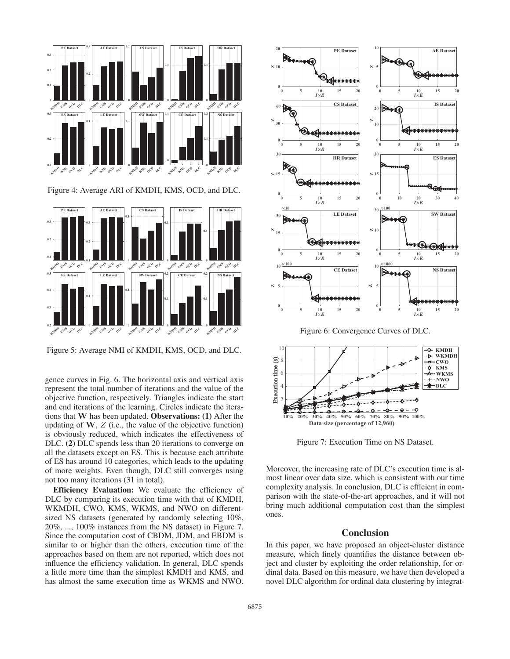

Figure 4: Average ARI of KMDH, KMS, OCD, and DLC.



Figure 5: Average NMI of KMDH, KMS, OCD, and DLC.

gence curves in Fig. 6. The horizontal axis and vertical axis represent the total number of iterations and the value of the objective function, respectively. Triangles indicate the start and end iterations of the learning. Circles indicate the iterations that **W** has been updated. Observations: (1) After the updating of  $W$ ,  $Z$  (i.e., the value of the objective function) is obviously reduced, which indicates the effectiveness of DLC. (2) DLC spends less than 20 iterations to converge on all the datasets except on ES. This is because each attribute of ES has around 10 categories, which leads to the updating of more weights. Even though, DLC still converges using not too many iterations (31 in total).

Efficiency Evaluation: We evaluate the efficiency of DLC by comparing its execution time with that of KMDH, WKMDH, CWO, KMS, WKMS, and NWO on differentsized NS datasets (generated by randomly selecting 10%, 20%, ..., 100% instances from the NS dataset) in Figure 7. Since the computation cost of CBDM, JDM, and EBDM is similar to or higher than the others, execution time of the approaches based on them are not reported, which does not influence the efficiency validation. In general, DLC spends a little more time than the simplest KMDH and KMS, and has almost the same execution time as WKMS and NWO.





Figure 7: Execution Time on NS Dataset.

Moreover, the increasing rate of DLC's execution time is almost linear over data size, which is consistent with our time complexity analysis. In conclusion, DLC is efficient in comparison with the state-of-the-art approaches, and it will not bring much additional computation cost than the simplest ones.

## **Conclusion**

In this paper, we have proposed an object-cluster distance measure, which finely quantifies the distance between object and cluster by exploiting the order relationship, for ordinal data. Based on this measure, we have then developed a novel DLC algorithm for ordinal data clustering by integrat